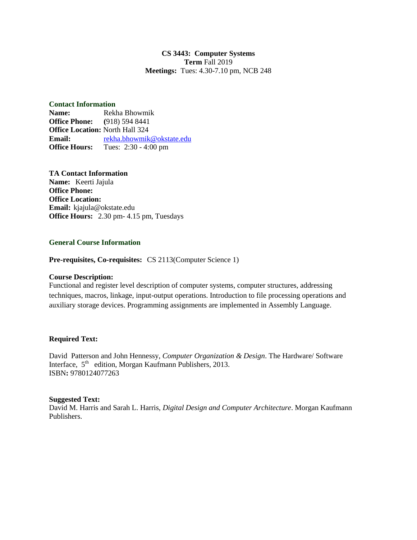## **CS 3443: Computer Systems Term** Fall 2019 **Meetings:** Tues: 4.30-7.10 pm, NCB 248

### **Contact Information**

**Name:** Rekha Bhowmik **Office Phone: (**918) 594 8441 **Office Location:** North Hall 324 **Email:** [rekha.bhowmik@okstate.edu](mailto:rekha.bhowmik@okstate.edu) **Office Hours:** Tues: 2:30 - 4:00 pm

### **TA Contact Information**

**Name:** Keerti Jajula **Office Phone: Office Location: Email:** kjajula@okstate.edu **Office Hours:** 2.30 pm- 4.15 pm, Tuesdays

## **General Course Information**

**Pre-requisites, Co-requisites:** CS 2113(Computer Science 1)

#### **Course Description:**

Functional and register level description of computer systems, computer structures, addressing techniques, macros, linkage, input-output operations. Introduction to file processing operations and auxiliary storage devices. Programming assignments are implemented in Assembly Language.

## **Required Text:**

David Patterson and John Hennessy, *Computer Organization & Design*. The Hardware/ Software Interface, 5<sup>th</sup> edition, Morgan Kaufmann Publishers, 2013. ISBN**:** 9780124077263

#### **Suggested Text:**

David M. Harris and Sarah L. Harris, *Digital Design and Computer Architecture*. Morgan Kaufmann Publishers.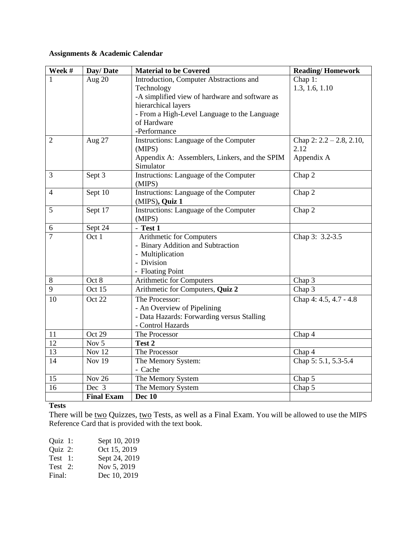# **Assignments & Academic Calendar**

| Week #          | Day/Date          | <b>Material to be Covered</b>                           | <b>Reading/Homework</b>                |
|-----------------|-------------------|---------------------------------------------------------|----------------------------------------|
|                 | Aug 20            | Introduction, Computer Abstractions and                 | Chap 1:                                |
|                 |                   | Technology                                              | 1.3, 1.6, 1.10                         |
|                 |                   | -A simplified view of hardware and software as          |                                        |
|                 |                   | hierarchical layers                                     |                                        |
|                 |                   | - From a High-Level Language to the Language            |                                        |
|                 |                   | of Hardware                                             |                                        |
|                 |                   | -Performance                                            |                                        |
| $\overline{2}$  | Aug 27            | Instructions: Language of the Computer                  | Chap 2: $2.2 - 2.8$ , $2.10$ ,<br>2.12 |
|                 |                   | (MIPS)<br>Appendix A: Assemblers, Linkers, and the SPIM | Appendix A                             |
|                 |                   | Simulator                                               |                                        |
| $\overline{3}$  | Sept 3            | Instructions: Language of the Computer                  | Chap 2                                 |
|                 |                   | (MIPS)                                                  |                                        |
| $\overline{4}$  | Sept 10           | Instructions: Language of the Computer                  | Chap 2                                 |
|                 |                   | (MIPS), Quiz 1                                          |                                        |
| 5               | Sept 17           | Instructions: Language of the Computer                  | Chap 2                                 |
|                 |                   | (MIPS)                                                  |                                        |
| 6               | Sept 24           | - Test 1                                                |                                        |
| $\overline{7}$  | Oct 1             | Arithmetic for Computers                                | Chap 3: 3.2-3.5                        |
|                 |                   | - Binary Addition and Subtraction                       |                                        |
|                 |                   | - Multiplication                                        |                                        |
|                 |                   | - Division                                              |                                        |
|                 |                   | - Floating Point                                        |                                        |
| 8               | Oct 8             | Arithmetic for Computers                                | Chap 3                                 |
| 9               | Oct 15            | Arithmetic for Computers, Quiz 2                        | Chap 3                                 |
| 10              | Oct 22            | The Processor:                                          | Chap 4: 4.5, 4.7 - 4.8                 |
|                 |                   | - An Overview of Pipelining                             |                                        |
|                 |                   | - Data Hazards: Forwarding versus Stalling              |                                        |
|                 | Oct 29            | - Control Hazards                                       |                                        |
| 11<br>12        | Nov 5             | The Processor<br>Test 2                                 | Chap 4                                 |
| $\overline{13}$ | <b>Nov 12</b>     | The Processor                                           | Chap 4                                 |
| 14              | <b>Nov 19</b>     | The Memory System:                                      | Chap 5: 5.1, 5.3-5.4                   |
|                 |                   | - Cache                                                 |                                        |
| 15              | <b>Nov 26</b>     | The Memory System                                       | Chap 5                                 |
| 16              | Dec 3             | The Memory System                                       | Chap 5                                 |
|                 | <b>Final Exam</b> | <b>Dec 10</b>                                           |                                        |

# **Tests**

There will be two Quizzes, two Tests, as well as a Final Exam. You will be allowed to use the MIPS Reference Card that is provided with the text book.

| Quiz 1: | Sept 10, 2019 |
|---------|---------------|
| Quiz 2: | Oct 15, 2019  |
| Test 1: | Sept 24, 2019 |
| Test 2: | Nov 5, 2019   |
| Final:  | Dec 10, 2019  |